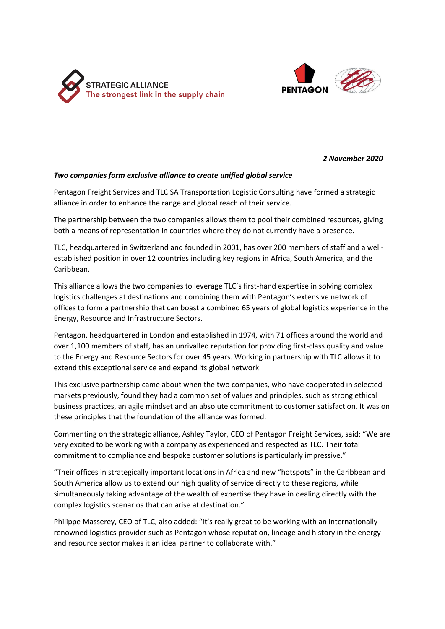



*2 November 2020*

## *Two companies form exclusive alliance to create unified global service*

Pentagon Freight Services and TLC SA Transportation Logistic Consulting have formed a strategic alliance in order to enhance the range and global reach of their service.

The partnership between the two companies allows them to pool their combined resources, giving both a means of representation in countries where they do not currently have a presence.

TLC, headquartered in Switzerland and founded in 2001, has over 200 members of staff and a wellestablished position in over 12 countries including key regions in Africa, South America, and the Caribbean.

This alliance allows the two companies to leverage TLC's first-hand expertise in solving complex logistics challenges at destinations and combining them with Pentagon's extensive network of offices to form a partnership that can boast a combined 65 years of global logistics experience in the Energy, Resource and Infrastructure Sectors.

Pentagon, headquartered in London and established in 1974, with 71 offices around the world and over 1,100 members of staff, has an unrivalled reputation for providing first-class quality and value to the Energy and Resource Sectors for over 45 years. Working in partnership with TLC allows it to extend this exceptional service and expand its global network.

This exclusive partnership came about when the two companies, who have cooperated in selected markets previously, found they had a common set of values and principles, such as strong ethical business practices, an agile mindset and an absolute commitment to customer satisfaction. It was on these principles that the foundation of the alliance was formed.

Commenting on the strategic alliance, Ashley Taylor, CEO of Pentagon Freight Services, said: "We are very excited to be working with a company as experienced and respected as TLC. Their total commitment to compliance and bespoke customer solutions is particularly impressive."

"Their offices in strategically important locations in Africa and new "hotspots" in the Caribbean and South America allow us to extend our high quality of service directly to these regions, while simultaneously taking advantage of the wealth of expertise they have in dealing directly with the complex logistics scenarios that can arise at destination."

Philippe Masserey, CEO of TLC, also added: "It's really great to be working with an internationally renowned logistics provider such as Pentagon whose reputation, lineage and history in the energy and resource sector makes it an ideal partner to collaborate with."